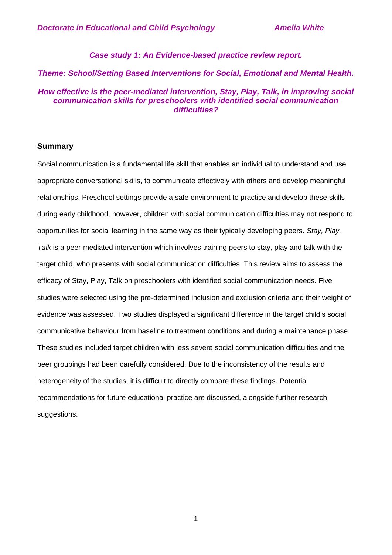### *Case study 1: An Evidence-based practice review report.*

#### *Theme: School/Setting Based Interventions for Social, Emotional and Mental Health.*

## *How effective is the peer-mediated intervention, Stay, Play, Talk, in improving social communication skills for preschoolers with identified social communication difficulties?*

### **Summary**

Social communication is a fundamental life skill that enables an individual to understand and use appropriate conversational skills, to communicate effectively with others and develop meaningful relationships. Preschool settings provide a safe environment to practice and develop these skills during early childhood, however, children with social communication difficulties may not respond to opportunities for social learning in the same way as their typically developing peers. *Stay, Play, Talk* is a peer-mediated intervention which involves training peers to stay, play and talk with the target child, who presents with social communication difficulties. This review aims to assess the efficacy of Stay, Play, Talk on preschoolers with identified social communication needs. Five studies were selected using the pre-determined inclusion and exclusion criteria and their weight of evidence was assessed. Two studies displayed a significant difference in the target child's social communicative behaviour from baseline to treatment conditions and during a maintenance phase. These studies included target children with less severe social communication difficulties and the peer groupings had been carefully considered. Due to the inconsistency of the results and heterogeneity of the studies, it is difficult to directly compare these findings. Potential recommendations for future educational practice are discussed, alongside further research suggestions.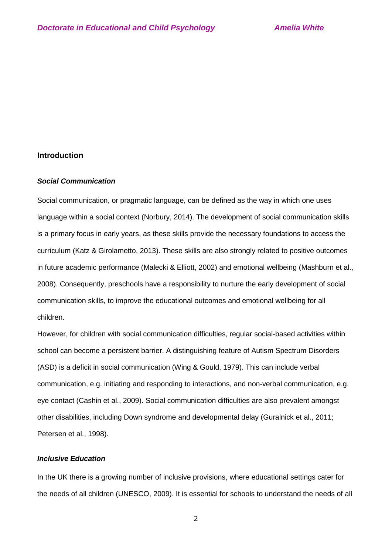## **Introduction**

### *Social Communication*

Social communication, or pragmatic language, can be defined as the way in which one uses language within a social context (Norbury, 2014). The development of social communication skills is a primary focus in early years, as these skills provide the necessary foundations to access the curriculum (Katz & Girolametto, 2013). These skills are also strongly related to positive outcomes in future academic performance (Malecki & Elliott, 2002) and emotional wellbeing (Mashburn et al., 2008). Consequently, preschools have a responsibility to nurture the early development of social communication skills, to improve the educational outcomes and emotional wellbeing for all children.

However, for children with social communication difficulties, regular social-based activities within school can become a persistent barrier. A distinguishing feature of Autism Spectrum Disorders (ASD) is a deficit in social communication (Wing & Gould, 1979). This can include verbal communication, e.g. initiating and responding to interactions, and non-verbal communication, e.g. eye contact (Cashin et al., 2009). Social communication difficulties are also prevalent amongst other disabilities, including Down syndrome and developmental delay (Guralnick et al., 2011; Petersen et al., 1998).

### *Inclusive Education*

In the UK there is a growing number of inclusive provisions, where educational settings cater for the needs of all children (UNESCO, 2009). It is essential for schools to understand the needs of all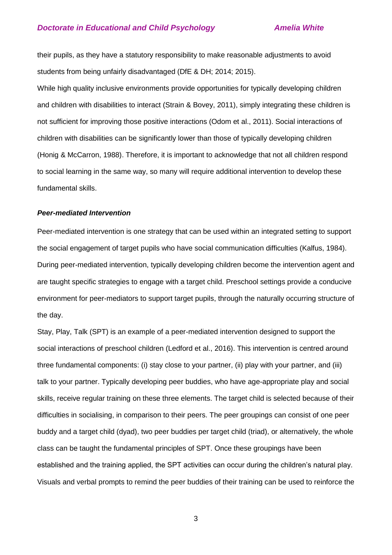### **Doctorate in Educational and Child Psychology <b>Amelia White**

their pupils, as they have a statutory responsibility to make reasonable adjustments to avoid students from being unfairly disadvantaged (DfE & DH; 2014; 2015).

While high quality inclusive environments provide opportunities for typically developing children and children with disabilities to interact (Strain & Bovey, 2011), simply integrating these children is not sufficient for improving those positive interactions (Odom et al., 2011). Social interactions of children with disabilities can be significantly lower than those of typically developing children (Honig & McCarron, 1988). Therefore, it is important to acknowledge that not all children respond to social learning in the same way, so many will require additional intervention to develop these fundamental skills.

#### *Peer-mediated Intervention*

Peer-mediated intervention is one strategy that can be used within an integrated setting to support the social engagement of target pupils who have social communication difficulties (Kalfus, 1984). During peer-mediated intervention, typically developing children become the intervention agent and are taught specific strategies to engage with a target child. Preschool settings provide a conducive environment for peer-mediators to support target pupils, through the naturally occurring structure of the day.

Stay, Play, Talk (SPT) is an example of a peer-mediated intervention designed to support the social interactions of preschool children (Ledford et al., 2016). This intervention is centred around three fundamental components: (i) stay close to your partner, (ii) play with your partner, and (iii) talk to your partner. Typically developing peer buddies, who have age-appropriate play and social skills, receive regular training on these three elements. The target child is selected because of their difficulties in socialising, in comparison to their peers. The peer groupings can consist of one peer buddy and a target child (dyad), two peer buddies per target child (triad), or alternatively, the whole class can be taught the fundamental principles of SPT. Once these groupings have been established and the training applied, the SPT activities can occur during the children's natural play. Visuals and verbal prompts to remind the peer buddies of their training can be used to reinforce the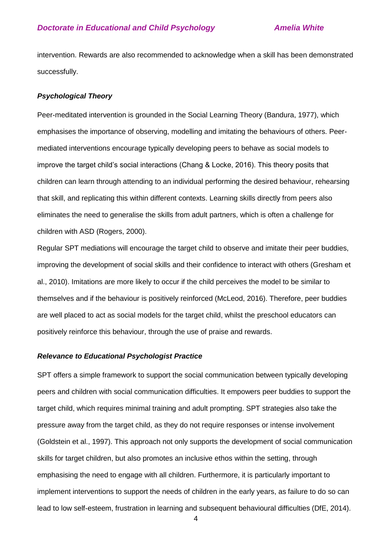### **Doctorate in Educational and Child Psychology <b>Amelia White**

intervention. Rewards are also recommended to acknowledge when a skill has been demonstrated successfully.

#### *Psychological Theory*

Peer-meditated intervention is grounded in the Social Learning Theory (Bandura, 1977), which emphasises the importance of observing, modelling and imitating the behaviours of others. Peermediated interventions encourage typically developing peers to behave as social models to improve the target child's social interactions (Chang & Locke, 2016). This theory posits that children can learn through attending to an individual performing the desired behaviour, rehearsing that skill, and replicating this within different contexts. Learning skills directly from peers also eliminates the need to generalise the skills from adult partners, which is often a challenge for children with ASD (Rogers, 2000).

Regular SPT mediations will encourage the target child to observe and imitate their peer buddies, improving the development of social skills and their confidence to interact with others (Gresham et al., 2010). Imitations are more likely to occur if the child perceives the model to be similar to themselves and if the behaviour is positively reinforced (McLeod, 2016). Therefore, peer buddies are well placed to act as social models for the target child, whilst the preschool educators can positively reinforce this behaviour, through the use of praise and rewards.

#### *Relevance to Educational Psychologist Practice*

SPT offers a simple framework to support the social communication between typically developing peers and children with social communication difficulties. It empowers peer buddies to support the target child, which requires minimal training and adult prompting. SPT strategies also take the pressure away from the target child, as they do not require responses or intense involvement (Goldstein et al., 1997). This approach not only supports the development of social communication skills for target children, but also promotes an inclusive ethos within the setting, through emphasising the need to engage with all children. Furthermore, it is particularly important to implement interventions to support the needs of children in the early years, as failure to do so can lead to low self-esteem, frustration in learning and subsequent behavioural difficulties (DfE, 2014).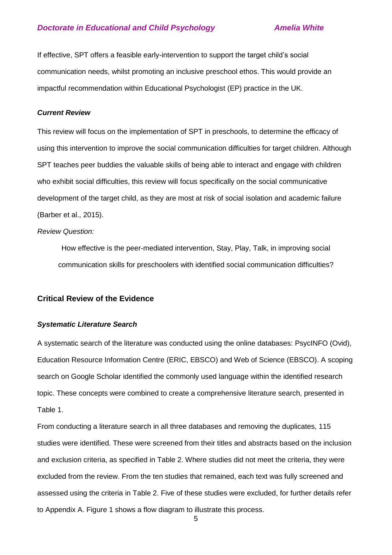### **Doctorate in Educational and Child Psychology <b>Amelia White**

If effective, SPT offers a feasible early-intervention to support the target child's social communication needs, whilst promoting an inclusive preschool ethos. This would provide an impactful recommendation within Educational Psychologist (EP) practice in the UK.

### *Current Review*

This review will focus on the implementation of SPT in preschools, to determine the efficacy of using this intervention to improve the social communication difficulties for target children. Although SPT teaches peer buddies the valuable skills of being able to interact and engage with children who exhibit social difficulties, this review will focus specifically on the social communicative development of the target child, as they are most at risk of social isolation and academic failure (Barber et al., 2015).

### *Review Question:*

How effective is the peer-mediated intervention, Stay, Play, Talk, in improving social communication skills for preschoolers with identified social communication difficulties?

### **Critical Review of the Evidence**

#### *Systematic Literature Search*

A systematic search of the literature was conducted using the online databases: PsycINFO (Ovid), Education Resource Information Centre (ERIC, EBSCO) and Web of Science (EBSCO). A scoping search on Google Scholar identified the commonly used language within the identified research topic. These concepts were combined to create a comprehensive literature search, presented in Table 1.

From conducting a literature search in all three databases and removing the duplicates, 115 studies were identified. These were screened from their titles and abstracts based on the inclusion and exclusion criteria, as specified in Table 2. Where studies did not meet the criteria, they were excluded from the review. From the ten studies that remained, each text was fully screened and assessed using the criteria in Table 2. Five of these studies were excluded, for further details refer to Appendix A. Figure 1 shows a flow diagram to illustrate this process.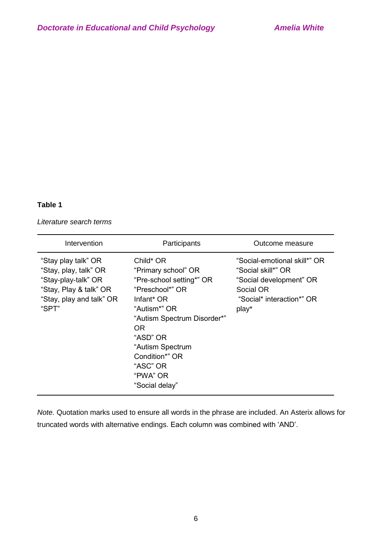## **Table 1**

*Literature search terms* 

| Intervention                                                                                                                       | Participants                                                                                                                                                                                                                                                | Outcome measure                                                                                                                  |
|------------------------------------------------------------------------------------------------------------------------------------|-------------------------------------------------------------------------------------------------------------------------------------------------------------------------------------------------------------------------------------------------------------|----------------------------------------------------------------------------------------------------------------------------------|
| "Stay play talk" OR<br>"Stay, play, talk" OR<br>"Stay-play-talk" OR<br>"Stay, Play & talk" OR<br>"Stay, play and talk" OR<br>"SPT" | Child* OR<br>"Primary school" OR<br>"Pre-school setting*" OR<br>"Preschool*" OR<br>Infant <sup>*</sup> OR<br>"Autism*" OR<br>"Autism Spectrum Disorder*"<br>OR.<br>"ASD" OR<br>"Autism Spectrum<br>Condition*" OR<br>"ASC" OR<br>"PWA" OR<br>"Social delay" | "Social-emotional skill*" OR<br>"Social skill*" OR<br>"Social development" OR<br>Social OR<br>"Social* interaction*" OR<br>play* |

*Note.* Quotation marks used to ensure all words in the phrase are included. An Asterix allows for truncated words with alternative endings. Each column was combined with 'AND'.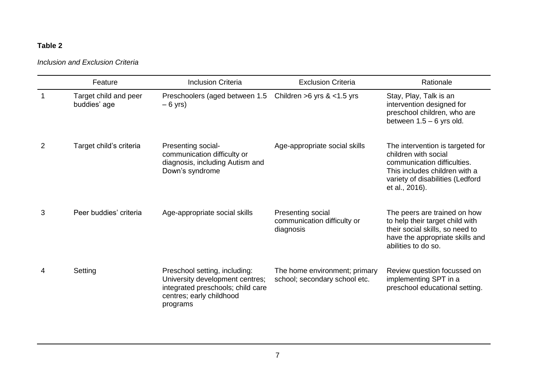# **Table 2**

*Inclusion and Exclusion Criteria* 

|                | Feature                               | <b>Inclusion Criteria</b>                                                                                                                     | <b>Exclusion Criteria</b>                                      | Rationale                                                                                                                                                                      |
|----------------|---------------------------------------|-----------------------------------------------------------------------------------------------------------------------------------------------|----------------------------------------------------------------|--------------------------------------------------------------------------------------------------------------------------------------------------------------------------------|
| $\mathbf 1$    | Target child and peer<br>buddies' age | Preschoolers (aged between 1.5<br>$-6$ yrs)                                                                                                   | Children $>6$ yrs & $<$ 1.5 yrs                                | Stay, Play, Talk is an<br>intervention designed for<br>preschool children, who are<br>between $1.5 - 6$ yrs old.                                                               |
| $\overline{2}$ | Target child's criteria               | Presenting social-<br>communication difficulty or<br>diagnosis, including Autism and<br>Down's syndrome                                       | Age-appropriate social skills                                  | The intervention is targeted for<br>children with social<br>communication difficulties.<br>This includes children with a<br>variety of disabilities (Ledford<br>et al., 2016). |
| 3              | Peer buddies' criteria                | Age-appropriate social skills                                                                                                                 | Presenting social<br>communication difficulty or<br>diagnosis  | The peers are trained on how<br>to help their target child with<br>their social skills, so need to<br>have the appropriate skills and<br>abilities to do so.                   |
| 4              | Setting                               | Preschool setting, including:<br>University development centres;<br>integrated preschools; child care<br>centres; early childhood<br>programs | The home environment; primary<br>school; secondary school etc. | Review question focussed on<br>implementing SPT in a<br>preschool educational setting.                                                                                         |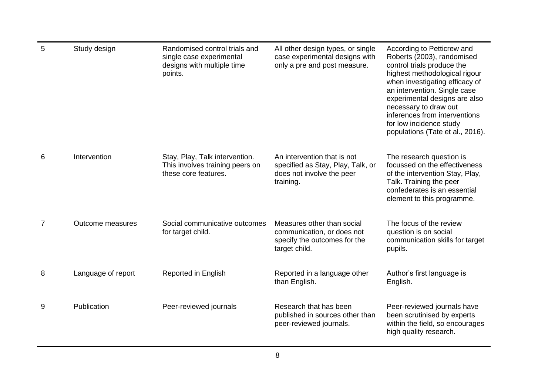| 5 | Study design       | Randomised control trials and<br>single case experimental<br>designs with multiple time<br>points. | All other design types, or single<br>case experimental designs with<br>only a pre and post measure.        | According to Petticrew and<br>Roberts (2003), randomised<br>control trials produce the<br>highest methodological rigour<br>when investigating efficacy of<br>an intervention. Single case<br>experimental designs are also<br>necessary to draw out<br>inferences from interventions<br>for low incidence study<br>populations (Tate et al., 2016). |
|---|--------------------|----------------------------------------------------------------------------------------------------|------------------------------------------------------------------------------------------------------------|-----------------------------------------------------------------------------------------------------------------------------------------------------------------------------------------------------------------------------------------------------------------------------------------------------------------------------------------------------|
| 6 | Intervention       | Stay, Play, Talk intervention.<br>This involves training peers on<br>these core features.          | An intervention that is not<br>specified as Stay, Play, Talk, or<br>does not involve the peer<br>training. | The research question is<br>focussed on the effectiveness<br>of the intervention Stay, Play,<br>Talk. Training the peer<br>confederates is an essential<br>element to this programme.                                                                                                                                                               |
| 7 | Outcome measures   | Social communicative outcomes<br>for target child.                                                 | Measures other than social<br>communication, or does not<br>specify the outcomes for the<br>target child.  | The focus of the review<br>question is on social<br>communication skills for target<br>pupils.                                                                                                                                                                                                                                                      |
| 8 | Language of report | Reported in English                                                                                | Reported in a language other<br>than English.                                                              | Author's first language is<br>English.                                                                                                                                                                                                                                                                                                              |
| 9 | Publication        | Peer-reviewed journals                                                                             | Research that has been<br>published in sources other than<br>peer-reviewed journals.                       | Peer-reviewed journals have<br>been scrutinised by experts<br>within the field, so encourages<br>high quality research.                                                                                                                                                                                                                             |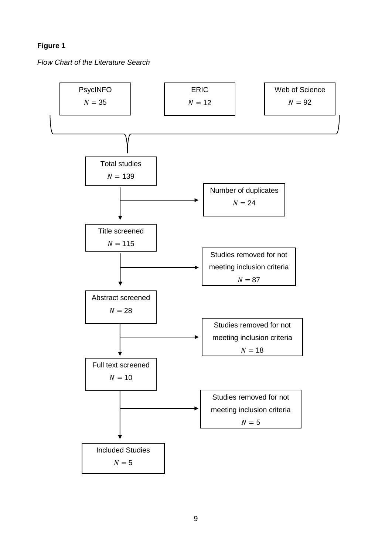# **Figure 1**

*Flow Chart of the Literature Search*

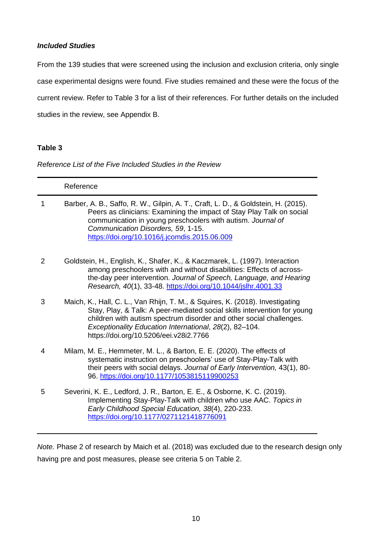### *Included Studies*

From the 139 studies that were screened using the inclusion and exclusion criteria, only single case experimental designs were found. Five studies remained and these were the focus of the current review. Refer to Table 3 for a list of their references. For further details on the included studies in the review, see Appendix B.

## **Table 3**

*Reference List of the Five Included Studies in the Review* 

|   | Reference                                                                                                                                                                                                                                                                                                                            |
|---|--------------------------------------------------------------------------------------------------------------------------------------------------------------------------------------------------------------------------------------------------------------------------------------------------------------------------------------|
| 1 | Barber, A. B., Saffo, R. W., Gilpin, A. T., Craft, L. D., & Goldstein, H. (2015).<br>Peers as clinicians: Examining the impact of Stay Play Talk on social<br>communication in young preschoolers with autism. Journal of<br>Communication Disorders, 59, 1-15.<br>https://doi.org/10.1016/j.jcomdis.2015.06.009                     |
| 2 | Goldstein, H., English, K., Shafer, K., & Kaczmarek, L. (1997). Interaction<br>among preschoolers with and without disabilities: Effects of across-<br>the-day peer intervention. Journal of Speech, Language, and Hearing<br>Research, 40(1), 33-48. https://doi.org/10.1044/jslhr.4001.33                                          |
| 3 | Maich, K., Hall, C. L., Van Rhijn, T. M., & Squires, K. (2018). Investigating<br>Stay, Play, & Talk: A peer-mediated social skills intervention for young<br>children with autism spectrum disorder and other social challenges.<br>Exceptionality Education International, 28(2), 82-104.<br>https://doi.org/10.5206/eei.v28i2.7766 |
| 4 | Milam, M. E., Hemmeter, M. L., & Barton, E. E. (2020). The effects of<br>systematic instruction on preschoolers' use of Stay-Play-Talk with<br>their peers with social delays. Journal of Early Intervention, 43(1), 80-<br>96. https://doi.org/10.1177/1053815119900253                                                             |
| 5 | Severini, K. E., Ledford, J. R., Barton, E. E., & Osborne, K. C. (2019).<br>Implementing Stay-Play-Talk with children who use AAC. Topics in<br>Early Childhood Special Education, 38(4), 220-233.<br>https://doi.org/10.1177/0271121418776091                                                                                       |

*Note.* Phase 2 of research by Maich et al. (2018) was excluded due to the research design only having pre and post measures, please see criteria 5 on Table 2.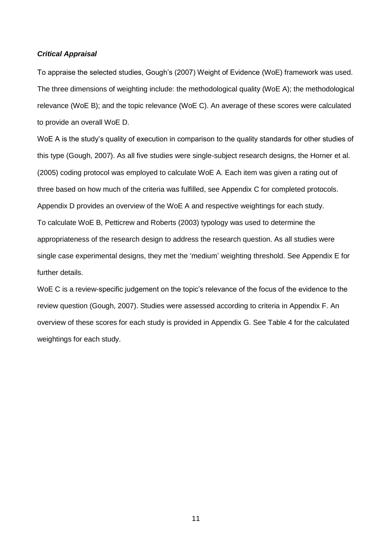### *Critical Appraisal*

To appraise the selected studies, Gough's (2007) Weight of Evidence (WoE) framework was used. The three dimensions of weighting include: the methodological quality (WoE A); the methodological relevance (WoE B); and the topic relevance (WoE C). An average of these scores were calculated to provide an overall WoE D.

WoE A is the study's quality of execution in comparison to the quality standards for other studies of this type (Gough, 2007). As all five studies were single-subject research designs, the Horner et al. (2005) coding protocol was employed to calculate WoE A. Each item was given a rating out of three based on how much of the criteria was fulfilled, see Appendix C for completed protocols. Appendix D provides an overview of the WoE A and respective weightings for each study. To calculate WoE B, Petticrew and Roberts (2003) typology was used to determine the appropriateness of the research design to address the research question. As all studies were single case experimental designs, they met the 'medium' weighting threshold. See Appendix E for further details.

WoE C is a review-specific judgement on the topic's relevance of the focus of the evidence to the review question (Gough, 2007). Studies were assessed according to criteria in Appendix F. An overview of these scores for each study is provided in Appendix G. See Table 4 for the calculated weightings for each study.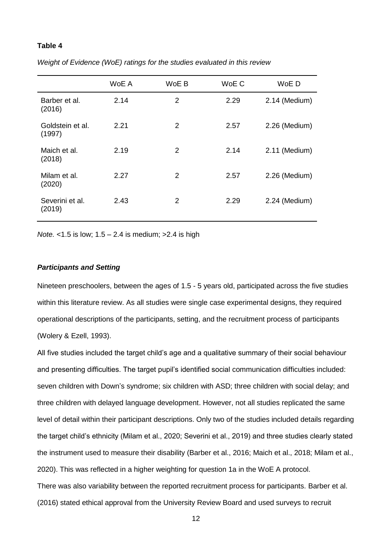### **Table 4**

|                            | WoE A | WoE B | WoE C | WoE D           |
|----------------------------|-------|-------|-------|-----------------|
| Barber et al.<br>(2016)    | 2.14  | 2     | 2.29  | 2.14 (Medium)   |
| Goldstein et al.<br>(1997) | 2.21  | 2     | 2.57  | 2.26 (Medium)   |
| Maich et al.<br>(2018)     | 2.19  | 2     | 2.14  | $2.11$ (Medium) |
| Milam et al.<br>(2020)     | 2.27  | 2     | 2.57  | 2.26 (Medium)   |
| Severini et al.<br>(2019)  | 2.43  | 2     | 2.29  | 2.24 (Medium)   |

*Weight of Evidence (WoE) ratings for the studies evaluated in this review*

*Note.* <1.5 is low; 1.5 – 2.4 is medium; >2.4 is high

### *Participants and Setting*

Nineteen preschoolers, between the ages of 1.5 - 5 years old, participated across the five studies within this literature review. As all studies were single case experimental designs, they required operational descriptions of the participants, setting, and the recruitment process of participants (Wolery & Ezell, 1993).

All five studies included the target child's age and a qualitative summary of their social behaviour and presenting difficulties. The target pupil's identified social communication difficulties included: seven children with Down's syndrome; six children with ASD; three children with social delay; and three children with delayed language development. However, not all studies replicated the same level of detail within their participant descriptions. Only two of the studies included details regarding the target child's ethnicity (Milam et al., 2020; Severini et al., 2019) and three studies clearly stated the instrument used to measure their disability (Barber et al., 2016; Maich et al., 2018; Milam et al., 2020). This was reflected in a higher weighting for question 1a in the WoE A protocol. There was also variability between the reported recruitment process for participants. Barber et al. (2016) stated ethical approval from the University Review Board and used surveys to recruit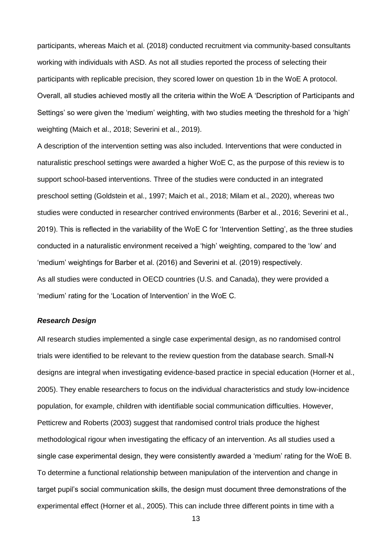participants, whereas Maich et al. (2018) conducted recruitment via community-based consultants working with individuals with ASD. As not all studies reported the process of selecting their participants with replicable precision, they scored lower on question 1b in the WoE A protocol. Overall, all studies achieved mostly all the criteria within the WoE A 'Description of Participants and Settings' so were given the 'medium' weighting, with two studies meeting the threshold for a 'high' weighting (Maich et al., 2018; Severini et al., 2019).

A description of the intervention setting was also included. Interventions that were conducted in naturalistic preschool settings were awarded a higher WoE C, as the purpose of this review is to support school-based interventions. Three of the studies were conducted in an integrated preschool setting (Goldstein et al., 1997; Maich et al., 2018; Milam et al., 2020), whereas two studies were conducted in researcher contrived environments (Barber et al., 2016; Severini et al., 2019). This is reflected in the variability of the WoE C for 'Intervention Setting', as the three studies conducted in a naturalistic environment received a 'high' weighting, compared to the 'low' and 'medium' weightings for Barber et al. (2016) and Severini et al. (2019) respectively. As all studies were conducted in OECD countries (U.S. and Canada), they were provided a 'medium' rating for the 'Location of Intervention' in the WoE C.

#### *Research Design*

All research studies implemented a single case experimental design, as no randomised control trials were identified to be relevant to the review question from the database search. Small-N designs are integral when investigating evidence-based practice in special education (Horner et al., 2005). They enable researchers to focus on the individual characteristics and study low-incidence population, for example, children with identifiable social communication difficulties. However, Petticrew and Roberts (2003) suggest that randomised control trials produce the highest methodological rigour when investigating the efficacy of an intervention. As all studies used a single case experimental design, they were consistently awarded a 'medium' rating for the WoE B. To determine a functional relationship between manipulation of the intervention and change in target pupil's social communication skills, the design must document three demonstrations of the experimental effect (Horner et al., 2005). This can include three different points in time with a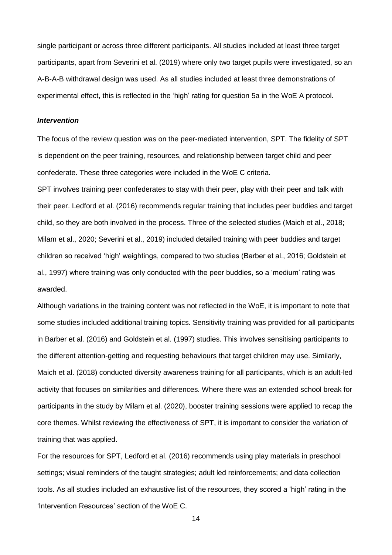single participant or across three different participants. All studies included at least three target participants, apart from Severini et al. (2019) where only two target pupils were investigated, so an A-B-A-B withdrawal design was used. As all studies included at least three demonstrations of experimental effect, this is reflected in the 'high' rating for question 5a in the WoE A protocol.

#### *Intervention*

The focus of the review question was on the peer-mediated intervention, SPT. The fidelity of SPT is dependent on the peer training, resources, and relationship between target child and peer confederate. These three categories were included in the WoE C criteria.

SPT involves training peer confederates to stay with their peer, play with their peer and talk with their peer. Ledford et al. (2016) recommends regular training that includes peer buddies and target child, so they are both involved in the process. Three of the selected studies (Maich et al., 2018; Milam et al., 2020; Severini et al., 2019) included detailed training with peer buddies and target children so received 'high' weightings, compared to two studies (Barber et al., 2016; Goldstein et al., 1997) where training was only conducted with the peer buddies, so a 'medium' rating was awarded.

Although variations in the training content was not reflected in the WoE, it is important to note that some studies included additional training topics. Sensitivity training was provided for all participants in Barber et al. (2016) and Goldstein et al. (1997) studies. This involves sensitising participants to the different attention-getting and requesting behaviours that target children may use. Similarly, Maich et al. (2018) conducted diversity awareness training for all participants, which is an adult-led activity that focuses on similarities and differences. Where there was an extended school break for participants in the study by Milam et al. (2020), booster training sessions were applied to recap the core themes. Whilst reviewing the effectiveness of SPT, it is important to consider the variation of training that was applied.

For the resources for SPT, Ledford et al. (2016) recommends using play materials in preschool settings; visual reminders of the taught strategies; adult led reinforcements; and data collection tools. As all studies included an exhaustive list of the resources, they scored a 'high' rating in the 'Intervention Resources' section of the WoE C.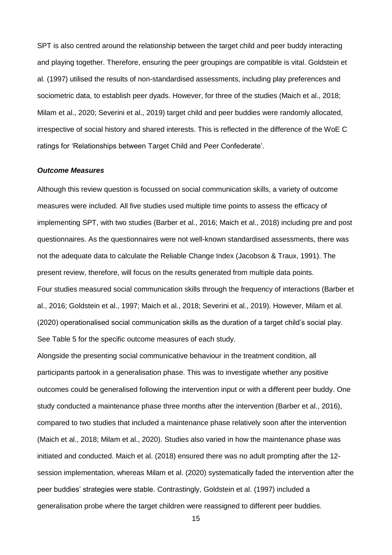SPT is also centred around the relationship between the target child and peer buddy interacting and playing together. Therefore, ensuring the peer groupings are compatible is vital. Goldstein et al. (1997) utilised the results of non-standardised assessments, including play preferences and sociometric data, to establish peer dyads. However, for three of the studies (Maich et al., 2018; Milam et al., 2020; Severini et al., 2019) target child and peer buddies were randomly allocated, irrespective of social history and shared interests. This is reflected in the difference of the WoE C ratings for 'Relationships between Target Child and Peer Confederate'.

#### *Outcome Measures*

Although this review question is focussed on social communication skills, a variety of outcome measures were included. All five studies used multiple time points to assess the efficacy of implementing SPT, with two studies (Barber et al., 2016; Maich et al., 2018) including pre and post questionnaires. As the questionnaires were not well-known standardised assessments, there was not the adequate data to calculate the Reliable Change Index (Jacobson & Traux, 1991). The present review, therefore, will focus on the results generated from multiple data points. Four studies measured social communication skills through the frequency of interactions (Barber et al., 2016; Goldstein et al., 1997; Maich et al., 2018; Severini et al., 2019). However, Milam et al. (2020) operationalised social communication skills as the duration of a target child's social play. See Table 5 for the specific outcome measures of each study.

Alongside the presenting social communicative behaviour in the treatment condition, all participants partook in a generalisation phase. This was to investigate whether any positive outcomes could be generalised following the intervention input or with a different peer buddy. One study conducted a maintenance phase three months after the intervention (Barber et al., 2016), compared to two studies that included a maintenance phase relatively soon after the intervention (Maich et al., 2018; Milam et al., 2020). Studies also varied in how the maintenance phase was initiated and conducted. Maich et al. (2018) ensured there was no adult prompting after the 12 session implementation, whereas Milam et al. (2020) systematically faded the intervention after the peer buddies' strategies were stable. Contrastingly, Goldstein et al. (1997) included a generalisation probe where the target children were reassigned to different peer buddies.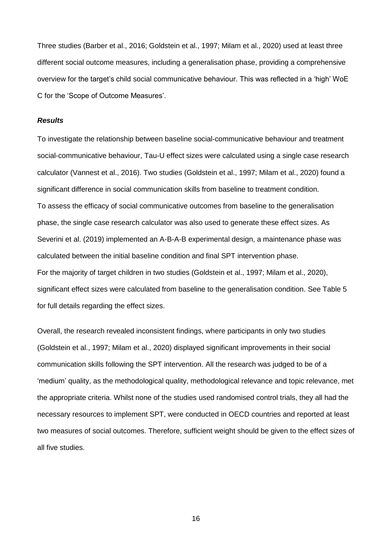Three studies (Barber et al., 2016; Goldstein et al., 1997; Milam et al., 2020) used at least three different social outcome measures, including a generalisation phase, providing a comprehensive overview for the target's child social communicative behaviour. This was reflected in a 'high' WoE C for the 'Scope of Outcome Measures'.

#### *Results*

To investigate the relationship between baseline social-communicative behaviour and treatment social-communicative behaviour, Tau-U effect sizes were calculated using a single case research calculator (Vannest et al., 2016). Two studies (Goldstein et al., 1997; Milam et al., 2020) found a significant difference in social communication skills from baseline to treatment condition. To assess the efficacy of social communicative outcomes from baseline to the generalisation phase, the single case research calculator was also used to generate these effect sizes. As Severini et al. (2019) implemented an A-B-A-B experimental design, a maintenance phase was calculated between the initial baseline condition and final SPT intervention phase. For the majority of target children in two studies (Goldstein et al., 1997; Milam et al., 2020), significant effect sizes were calculated from baseline to the generalisation condition. See Table 5 for full details regarding the effect sizes.

Overall, the research revealed inconsistent findings, where participants in only two studies (Goldstein et al., 1997; Milam et al., 2020) displayed significant improvements in their social communication skills following the SPT intervention. All the research was judged to be of a 'medium' quality, as the methodological quality, methodological relevance and topic relevance, met the appropriate criteria. Whilst none of the studies used randomised control trials, they all had the necessary resources to implement SPT, were conducted in OECD countries and reported at least two measures of social outcomes. Therefore, sufficient weight should be given to the effect sizes of all five studies.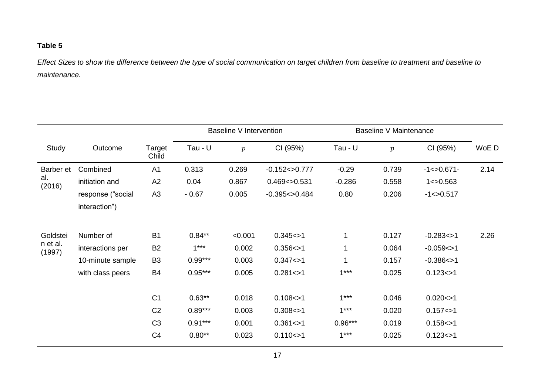# **Table 5**

*Effect Sizes to show the difference between the type of social communication on target children from baseline to treatment and baseline to maintenance.*

|                    |                                    |                 |           | Baseline V Intervention |                  |           | Baseline V Maintenance |                |       |
|--------------------|------------------------------------|-----------------|-----------|-------------------------|------------------|-----------|------------------------|----------------|-------|
| Study              | Outcome                            | Target<br>Child | Tau - U   | $\boldsymbol{p}$        | CI (95%)         | Tau - U   | $\boldsymbol{p}$       | CI (95%)       | WoE D |
| Barber et          | Combined                           | A1              | 0.313     | 0.269                   | $-0.152 < 0.777$ | $-0.29$   | 0.739                  | $-1 < 0.671$   | 2.14  |
| al.<br>(2016)      | initiation and                     | A <sub>2</sub>  | 0.04      | 0.867                   | 0.469 < > 0.531  | $-0.286$  | 0.558                  | 1 < 0.563      |       |
|                    | response ("social<br>interaction") | A <sub>3</sub>  | $-0.67$   | 0.005                   | $-0.395 < 0.484$ | 0.80      | 0.206                  | $-1 < 0.517$   |       |
| Goldstei           | Number of                          | <b>B1</b>       | $0.84**$  | < 0.001                 | 0.345 < > 1      | 1         | 0.127                  | $-0.283 < > 1$ | 2.26  |
| n et al.<br>(1997) | interactions per                   | <b>B2</b>       | $1***$    | 0.002                   | 0.356 < > 1      | 1         | 0.064                  | $-0.059 < > 1$ |       |
|                    | 10-minute sample                   | B <sub>3</sub>  | $0.99***$ | 0.003                   | 0.347 < > 1      | 1         | 0.157                  | $-0.386 < > 1$ |       |
|                    | with class peers                   | <b>B4</b>       | $0.95***$ | 0.005                   | 0.281 < > 1      | $1***$    | 0.025                  | 0.123 < > 1    |       |
|                    |                                    | C <sub>1</sub>  | $0.63***$ | 0.018                   | 0.108 < > 1      | $1***$    | 0.046                  | 0.020 < > 1    |       |
|                    |                                    | C <sub>2</sub>  | $0.89***$ | 0.003                   | 0.308 < > 1      | $1***$    | 0.020                  | 0.157 < > 1    |       |
|                    |                                    | C <sub>3</sub>  | $0.91***$ | 0.001                   | 0.361 < > 1      | $0.96***$ | 0.019                  | 0.158 < > 1    |       |
|                    |                                    | C <sub>4</sub>  | $0.80**$  | 0.023                   | 0.110 < > 1      | $1***$    | 0.025                  | 0.123 < > 1    |       |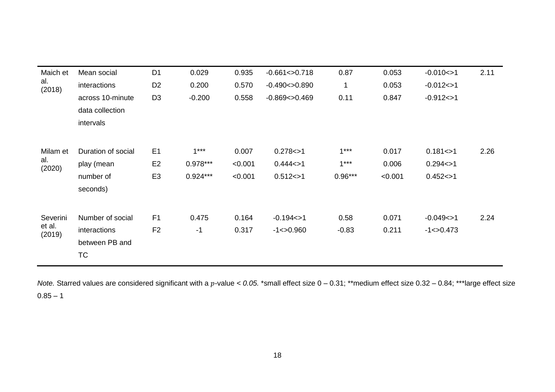| Maich et         | Mean social        | D <sub>1</sub> | 0.029      | 0.935   | $-0.661 < >0.718$  | 0.87      | 0.053   | $-0.010 < > 1$ | 2.11 |
|------------------|--------------------|----------------|------------|---------|--------------------|-----------|---------|----------------|------|
| al.<br>(2018)    | interactions       | D <sub>2</sub> | 0.200      | 0.570   | $-0.490 < > 0.890$ | 1         | 0.053   | $-0.012 < > 1$ |      |
|                  | across 10-minute   | D <sub>3</sub> | $-0.200$   | 0.558   | $-0.869 < 0.469$   | 0.11      | 0.847   | $-0.912 < > 1$ |      |
|                  | data collection    |                |            |         |                    |           |         |                |      |
|                  | intervals          |                |            |         |                    |           |         |                |      |
|                  |                    |                |            |         |                    |           |         |                |      |
| Milam et         | Duration of social | E <sub>1</sub> | $1***$     | 0.007   | 0.278 < > 1        | $1***$    | 0.017   | 0.181 < > 1    | 2.26 |
| al.<br>(2020)    | play (mean         | E <sub>2</sub> | $0.978***$ | < 0.001 | 0.444 < > 1        | $1***$    | 0.006   | 0.294 < > 1    |      |
|                  | number of          | E <sub>3</sub> | $0.924***$ | < 0.001 | 0.512 < > 1        | $0.96***$ | < 0.001 | 0.452 < > 1    |      |
|                  | seconds)           |                |            |         |                    |           |         |                |      |
|                  |                    |                |            |         |                    |           |         |                |      |
| Severini         | Number of social   | F <sub>1</sub> | 0.475      | 0.164   | $-0.194 < > 1$     | 0.58      | 0.071   | $-0.049 < > 1$ | 2.24 |
| et al.<br>(2019) | interactions       | F <sub>2</sub> | $-1$       | 0.317   | $-1 < 0.960$       | $-0.83$   | 0.211   | $-1 < 0.473$   |      |
|                  | between PB and     |                |            |         |                    |           |         |                |      |
|                  | <b>TC</b>          |                |            |         |                    |           |         |                |      |
|                  |                    |                |            |         |                    |           |         |                |      |

*Note.* Starred values are considered significant with a p-value < 0.05. \*small effect size 0 - 0.31; \*\*medium effect size 0.32 - 0.84; \*\*\*large effect size  $0.85 - 1$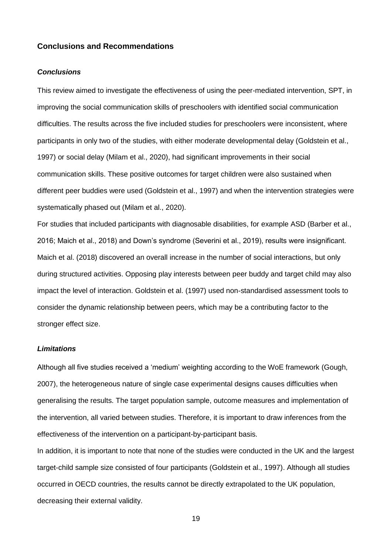### **Conclusions and Recommendations**

#### *Conclusions*

This review aimed to investigate the effectiveness of using the peer-mediated intervention, SPT, in improving the social communication skills of preschoolers with identified social communication difficulties. The results across the five included studies for preschoolers were inconsistent, where participants in only two of the studies, with either moderate developmental delay (Goldstein et al., 1997) or social delay (Milam et al., 2020), had significant improvements in their social communication skills. These positive outcomes for target children were also sustained when different peer buddies were used (Goldstein et al., 1997) and when the intervention strategies were systematically phased out (Milam et al., 2020).

For studies that included participants with diagnosable disabilities, for example ASD (Barber et al., 2016; Maich et al., 2018) and Down's syndrome (Severini et al., 2019), results were insignificant. Maich et al. (2018) discovered an overall increase in the number of social interactions, but only during structured activities. Opposing play interests between peer buddy and target child may also impact the level of interaction. Goldstein et al. (1997) used non-standardised assessment tools to consider the dynamic relationship between peers, which may be a contributing factor to the stronger effect size.

### *Limitations*

Although all five studies received a 'medium' weighting according to the WoE framework (Gough, 2007), the heterogeneous nature of single case experimental designs causes difficulties when generalising the results. The target population sample, outcome measures and implementation of the intervention, all varied between studies. Therefore, it is important to draw inferences from the effectiveness of the intervention on a participant-by-participant basis.

In addition, it is important to note that none of the studies were conducted in the UK and the largest target-child sample size consisted of four participants (Goldstein et al., 1997). Although all studies occurred in OECD countries, the results cannot be directly extrapolated to the UK population, decreasing their external validity.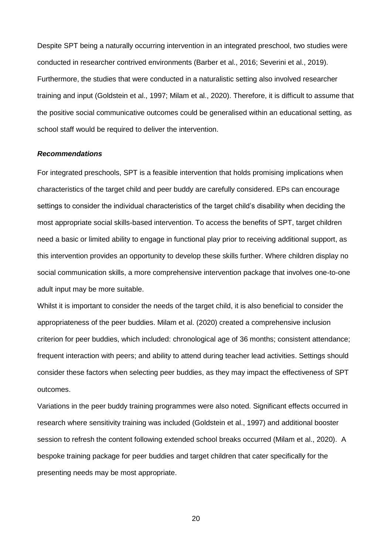Despite SPT being a naturally occurring intervention in an integrated preschool, two studies were conducted in researcher contrived environments (Barber et al., 2016; Severini et al., 2019). Furthermore, the studies that were conducted in a naturalistic setting also involved researcher training and input (Goldstein et al., 1997; Milam et al., 2020). Therefore, it is difficult to assume that the positive social communicative outcomes could be generalised within an educational setting, as school staff would be required to deliver the intervention.

#### *Recommendations*

For integrated preschools, SPT is a feasible intervention that holds promising implications when characteristics of the target child and peer buddy are carefully considered. EPs can encourage settings to consider the individual characteristics of the target child's disability when deciding the most appropriate social skills-based intervention. To access the benefits of SPT, target children need a basic or limited ability to engage in functional play prior to receiving additional support, as this intervention provides an opportunity to develop these skills further. Where children display no social communication skills, a more comprehensive intervention package that involves one-to-one adult input may be more suitable.

Whilst it is important to consider the needs of the target child, it is also beneficial to consider the appropriateness of the peer buddies. Milam et al. (2020) created a comprehensive inclusion criterion for peer buddies, which included: chronological age of 36 months; consistent attendance; frequent interaction with peers; and ability to attend during teacher lead activities. Settings should consider these factors when selecting peer buddies, as they may impact the effectiveness of SPT outcomes.

Variations in the peer buddy training programmes were also noted. Significant effects occurred in research where sensitivity training was included (Goldstein et al., 1997) and additional booster session to refresh the content following extended school breaks occurred (Milam et al., 2020). A bespoke training package for peer buddies and target children that cater specifically for the presenting needs may be most appropriate.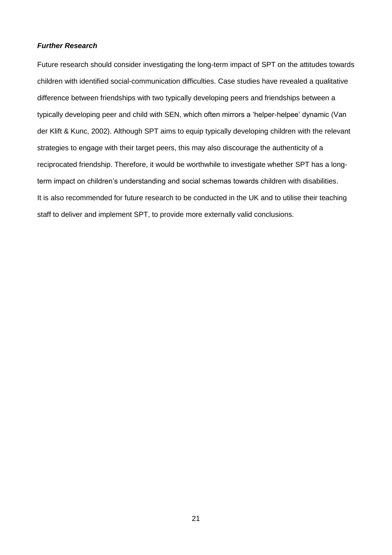### *Further Research*

Future research should consider investigating the long-term impact of SPT on the attitudes towards children with identified social-communication difficulties. Case studies have revealed a qualitative difference between friendships with two typically developing peers and friendships between a typically developing peer and child with SEN, which often mirrors a 'helper-helpee' dynamic (Van der Klift & Kunc, 2002). Although SPT aims to equip typically developing children with the relevant strategies to engage with their target peers, this may also discourage the authenticity of a reciprocated friendship. Therefore, it would be worthwhile to investigate whether SPT has a longterm impact on children's understanding and social schemas towards children with disabilities. It is also recommended for future research to be conducted in the UK and to utilise their teaching staff to deliver and implement SPT, to provide more externally valid conclusions.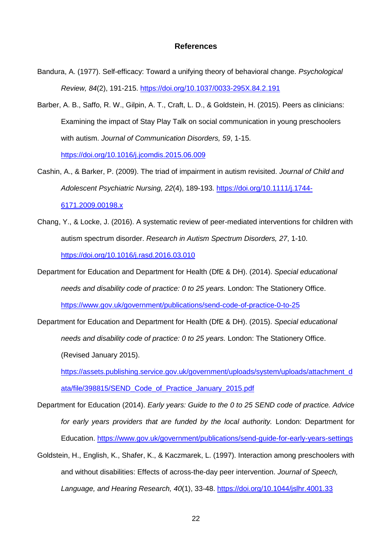### **References**

- Bandura, A. (1977). Self-efficacy: Toward a unifying theory of behavioral change. *Psychological Review, 84*(2), 191-215. [https://doi.org/10.1037/0033-295X.84.2.191](https://psycnet.apa.org/doi/10.1037/0033-295X.84.2.191)
- Barber, A. B., Saffo, R. W., Gilpin, A. T., Craft, L. D., & Goldstein, H. (2015). Peers as clinicians: Examining the impact of Stay Play Talk on social communication in young preschoolers with autism. *Journal of Communication Disorders, 59*, 1-15.

<https://doi.org/10.1016/j.jcomdis.2015.06.009>

- Cashin, A., & Barker, P. (2009). The triad of impairment in autism revisited. *Journal of Child and Adolescent Psychiatric Nursing, 22*(4), 189-193. [https://doi.org/10.1111/j.1744-](https://doi.org/10.1111/j.1744-6171.2009.00198.x) [6171.2009.00198.x](https://doi.org/10.1111/j.1744-6171.2009.00198.x)
- Chang, Y., & Locke, J. (2016). A systematic review of peer-mediated interventions for children with autism spectrum disorder. *Research in Autism Spectrum Disorders, 27*, 1-10. <https://doi.org/10.1016/j.rasd.2016.03.010>
- Department for Education and Department for Health (DfE & DH). (2014). *Special educational needs and disability code of practice: 0 to 25 years.* London: The Stationery Office. <https://www.gov.uk/government/publications/send-code-of-practice-0-to-25>
- Department for Education and Department for Health (DfE & DH). (2015). *Special educational needs and disability code of practice: 0 to 25 years.* London: The Stationery Office. (Revised January 2015).

[https://assets.publishing.service.gov.uk/government/uploads/system/uploads/attachment\\_d](https://assets.publishing.service.gov.uk/government/uploads/system/uploads/attachment_data/file/398815/SEND_Code_of_Practice_January_2015.pdf) [ata/file/398815/SEND\\_Code\\_of\\_Practice\\_January\\_2015.pdf](https://assets.publishing.service.gov.uk/government/uploads/system/uploads/attachment_data/file/398815/SEND_Code_of_Practice_January_2015.pdf)

- Department for Education (2014). *Early years: Guide to the 0 to 25 SEND code of practice. Advice*  for early years providers that are funded by the local authority. London: Department for Education. <https://www.gov.uk/government/publications/send-guide-for-early-years-settings>
- Goldstein, H., English, K., Shafer, K., & Kaczmarek, L. (1997). Interaction among preschoolers with and without disabilities: Effects of across-the-day peer intervention. *Journal of Speech, Language, and Hearing Research, 40*(1), 33-48. <https://doi.org/10.1044/jslhr.4001.33>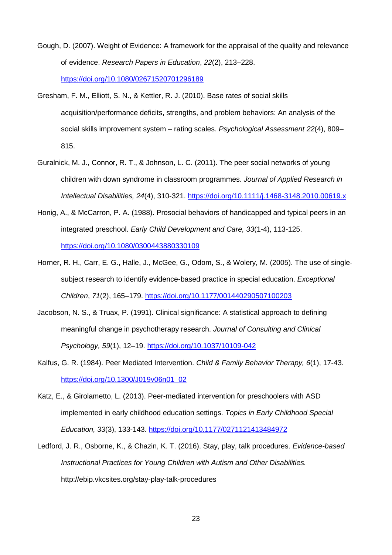- Gough, D. (2007). Weight of Evidence: A framework for the appraisal of the quality and relevance of evidence. *Research Papers in Education*, *22*(2), 213–228. <https://doi.org/10.1080/02671520701296189>
- Gresham, F. M., Elliott, S. N., & Kettler, R. J. (2010). Base rates of social skills acquisition/performance deficits, strengths, and problem behaviors: An analysis of the social skills improvement system – rating scales. *Psychological Assessment 22*(4), 809– 815.
- Guralnick, M. J., Connor, R. T., & Johnson, L. C. (2011). The peer social networks of young children with down syndrome in classroom programmes. *Journal of Applied Research in Intellectual Disabilities, 24*(4), 310-321. <https://doi.org/10.1111/j.1468-3148.2010.00619.x>
- Honig, A., & McCarron, P. A. (1988). Prosocial behaviors of handicapped and typical peers in an integrated preschool. *Early Child Development and Care, 33*(1-4), 113-125. <https://doi.org/10.1080/0300443880330109>
- Horner, R. H., Carr, E. G., Halle, J., McGee, G., Odom, S., & Wolery, M. (2005). The use of singlesubject research to identify evidence-based practice in special education. *Exceptional Children*, *71*(2), 165–179. [https://doi.org/10.1177/001440290507100203](https://doi.org/10.1177%2F001440290507100203)
- Jacobson, N. S., & Truax, P. (1991). Clinical significance: A statistical approach to defining meaningful change in psychotherapy research. *Journal of Consulting and Clinical Psychology, 59*(1), 12–19. [https://doi.org/10.1037/10109-042](https://psycnet.apa.org/doi/10.1037/10109-042)
- Kalfus, G. R. (1984). Peer Mediated Intervention. *Child & Family Behavior Therapy, 6*(1), 17-43. [https://doi.org/10.1300/J019v06n01\\_02](https://doi.org/10.1300/J019v06n01_02)
- Katz, E., & Girolametto, L. (2013). Peer-mediated intervention for preschoolers with ASD implemented in early childhood education settings. *Topics in Early Childhood Special Education, 33*(3), 133-143. [https://doi.org/10.1177/0271121413484972](https://doi.org/10.1177%2F0271121413484972)
- Ledford, J. R., Osborne, K., & Chazin, K. T. (2016). Stay, play, talk procedures. *Evidence-based Instructional Practices for Young Children with Autism and Other Disabilities.* <http://ebip.vkcsites.org/stay-play-talk-procedures>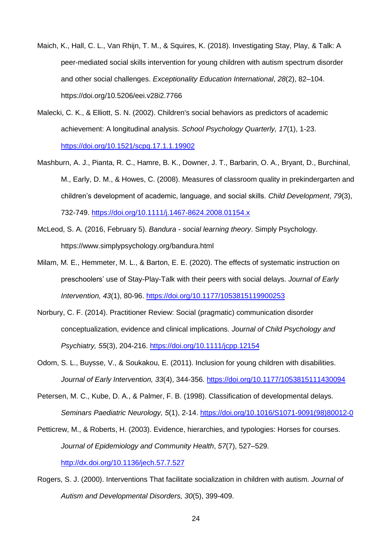- Maich, K., Hall, C. L., Van Rhijn, T. M., & Squires, K. (2018). Investigating Stay, Play, & Talk: A peer-mediated social skills intervention for young children with autism spectrum disorder and other social challenges. *Exceptionality Education International*, *28*(2), 82–104. <https://doi.org/10.5206/eei.v28i2.7766>
- Malecki, C. K., & Elliott, S. N. (2002). Children's social behaviors as predictors of academic achievement: A longitudinal analysis. *School Psychology Quarterly, 17*(1), 1-23. [https://doi.org/10.1521/scpq.17.1.1.19902](https://psycnet.apa.org/doi/10.1521/scpq.17.1.1.19902)
- Mashburn, A. J., Pianta, R. C., Hamre, B. K., Downer, J. T., Barbarin, O. A., Bryant, D., Burchinal, M., Early, D. M., & Howes, C. (2008). Measures of classroom quality in prekindergarten and children's development of academic, language, and social skills. *Child Development*, *79*(3), 732-749. <https://doi.org/10.1111/j.1467-8624.2008.01154.x>
- McLeod, S. A. (2016, February 5). *Bandura - social learning theory*. Simply Psychology. <https://www.simplypsychology.org/bandura.html>
- Milam, M. E., Hemmeter, M. L., & Barton, E. E. (2020). The effects of systematic instruction on preschoolers' use of Stay-Play-Talk with their peers with social delays. *Journal of Early Intervention, 43*(1), 80-96. [https://doi.org/10.1177/1053815119900253](https://doi.org/10.1177%2F1053815119900253)
- Norbury, C. F. (2014). Practitioner Review: Social (pragmatic) communication disorder conceptualization, evidence and clinical implications. *Journal of Child Psychology and Psychiatry, 55*(3), 204-216. <https://doi.org/10.1111/jcpp.12154>
- Odom, S. L., Buysse, V., & Soukakou, E. (2011). Inclusion for young children with disabilities. *Journal of Early Intervention, 33*(4), 344-356. [https://doi.org/10.1177/1053815111430094](https://doi.org/10.1177%2F1053815111430094)
- Petersen, M. C., Kube, D. A., & Palmer, F. B. (1998). Classification of developmental delays. *Seminars Paediatric Neurology, 5*(1), 2-14. [https://doi.org/10.1016/S1071-9091\(98\)80012-0](https://doi.org/10.1016/S1071-9091(98)80012-0)

Petticrew, M., & Roberts, H. (2003). Evidence, hierarchies, and typologies: Horses for courses. *Journal of Epidemiology and Community Health*, *57*(7), 527–529. <http://dx.doi.org/10.1136/jech.57.7.527>

Rogers, S. J. (2000). Interventions That facilitate socialization in children with autism. *Journal of Autism and Developmental Disorders, 30*(5), 399-409.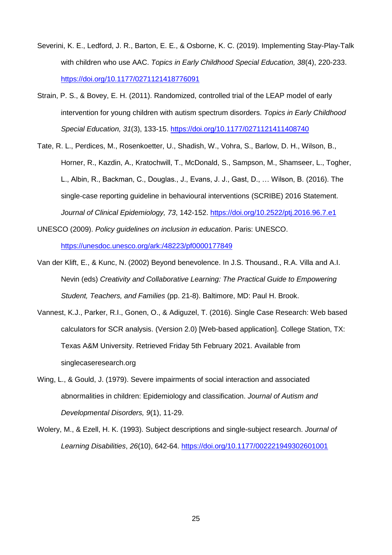- Severini, K. E., Ledford, J. R., Barton, E. E., & Osborne, K. C. (2019). Implementing Stay-Play-Talk with children who use AAC. *Topics in Early Childhood Special Education, 38*(4), 220-233. [https://doi.org/10.1177/0271121418776091](https://doi.org/10.1177%2F0271121418776091)
- Strain, P. S., & Bovey, E. H. (2011). Randomized, controlled trial of the LEAP model of early intervention for young children with autism spectrum disorders. *Topics in Early Childhood Special Education, 31*(3), 133-15. [https://doi.org/10.1177/0271121411408740](https://doi.org/10.1177%2F0271121411408740)
- Tate, R. L., Perdices, M., Rosenkoetter, U., Shadish, W., Vohra, S., Barlow, D. H., Wilson, B., Horner, R., Kazdin, A., Kratochwill, T., McDonald, S., Sampson, M., Shamseer, L., Togher, L., Albin, R., Backman, C., Douglas., J., Evans, J. J., Gast, D., … Wilson, B. (2016). The single-case reporting guideline in behavioural interventions (SCRIBE) 2016 Statement. *Journal of Clinical Epidemiology, 73*, 142-152. <https://doi.org/10.2522/ptj.2016.96.7.e1>
- UNESCO (2009). *Policy guidelines on inclusion in education*. Paris: UNESCO. <https://unesdoc.unesco.org/ark:/48223/pf0000177849>
- Van der Klift, E., & Kunc, N. (2002) Beyond benevolence. In J.S. Thousand., R.A. Villa and A.I. Nevin (eds) *Creativity and Collaborative Learning: The Practical Guide to Empowering Student, Teachers, and Families* (pp. 21-8). Baltimore, MD: Paul H. Brook.
- Vannest, K.J., Parker, R.I., [Gonen, O.,](http://www.mogonen.com/) & [Adiguzel, T.](http://www.tufanadiguzel.com/) (2016). Single Case Research: Web based calculators for SCR analysis. (Version 2.0) [Web-based application]. College Station, TX: Texas A&M University. Retrieved Friday 5th February 2021. Available from [singlecaseresearch.org](http://www.singlecaseresearch.org/)
- Wing, L., & Gould, J. (1979). Severe impairments of social interaction and associated abnormalities in children: Epidemiology and classification. *Journal of Autism and Developmental Disorders, 9*(1), 11-29.
- Wolery, M., & Ezell, H. K. (1993). Subject descriptions and single-subject research. *Journal of Learning Disabilities*, *26*(10), 642-64. [https://doi.org/10.1177/002221949302601001](https://doi.org/10.1177%2F002221949302601001)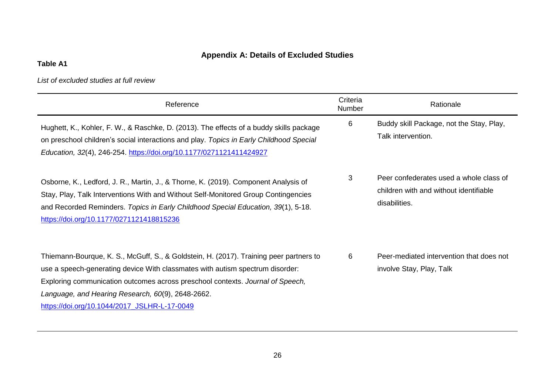# **Appendix A: Details of Excluded Studies**

# **Table A1**

# *List of excluded studies at full review*

| Reference                                                                                                                                                                                                                                                                                                                                                      | Criteria<br>Number | Rationale                                                                                          |
|----------------------------------------------------------------------------------------------------------------------------------------------------------------------------------------------------------------------------------------------------------------------------------------------------------------------------------------------------------------|--------------------|----------------------------------------------------------------------------------------------------|
| Hughett, K., Kohler, F. W., & Raschke, D. (2013). The effects of a buddy skills package<br>on preschool children's social interactions and play. Topics in Early Childhood Special<br>Education, 32(4), 246-254. https://doi.org/10.1177/0271121411424927                                                                                                      | 6                  | Buddy skill Package, not the Stay, Play,<br>Talk intervention.                                     |
| Osborne, K., Ledford, J. R., Martin, J., & Thorne, K. (2019). Component Analysis of<br>Stay, Play, Talk Interventions With and Without Self-Monitored Group Contingencies<br>and Recorded Reminders. Topics in Early Childhood Special Education, 39(1), 5-18.<br>https://doi.org/10.1177/0271121418815236                                                     | 3                  | Peer confederates used a whole class of<br>children with and without identifiable<br>disabilities. |
| Thiemann-Bourque, K. S., McGuff, S., & Goldstein, H. (2017). Training peer partners to<br>use a speech-generating device With classmates with autism spectrum disorder:<br>Exploring communication outcomes across preschool contexts. Journal of Speech,<br>Language, and Hearing Research, 60(9), 2648-2662.<br>https://doi.org/10.1044/2017 JSLHR-L-17-0049 | 6                  | Peer-mediated intervention that does not<br>involve Stay, Play, Talk                               |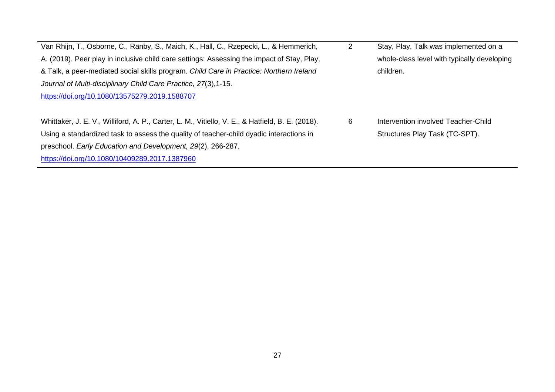| Van Rhijn, T., Osborne, C., Ranby, S., Maich, K., Hall, C., Rzepecki, L., & Hemmerich,           | 2 | Stay, Play, Talk was implemented on a       |
|--------------------------------------------------------------------------------------------------|---|---------------------------------------------|
| A. (2019). Peer play in inclusive child care settings: Assessing the impact of Stay, Play,       |   | whole-class level with typically developing |
| & Talk, a peer-mediated social skills program. Child Care in Practice: Northern Ireland          |   | children.                                   |
| Journal of Multi-disciplinary Child Care Practice, 27(3), 1-15.                                  |   |                                             |
| https://doi.org/10.1080/13575279.2019.1588707                                                    |   |                                             |
|                                                                                                  |   |                                             |
| Whittaker, J. E. V., Williford, A. P., Carter, L. M., Vitiello, V. E., & Hatfield, B. E. (2018). | 6 | Intervention involved Teacher-Child         |
| Using a standardized task to assess the quality of teacher-child dyadic interactions in          |   | Structures Play Task (TC-SPT).              |
| preschool. Early Education and Development, 29(2), 266-287.                                      |   |                                             |
| https://doi.org/10.1080/10409289.2017.1387960                                                    |   |                                             |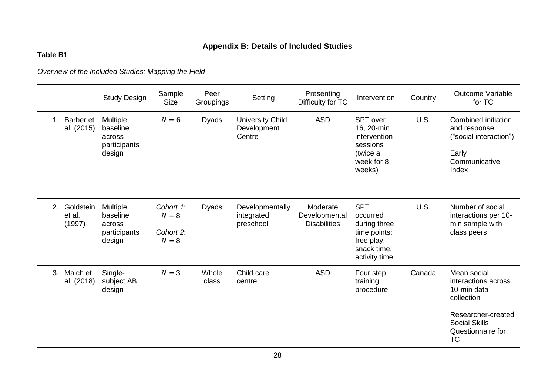# **Appendix B: Details of Included Studies**

# **Table B1**

*Overview of the Included Studies: Mapping the Field* 

|         |                               | <b>Study Design</b>                                             | Sample<br><b>Size</b>                    | Peer<br>Groupings | Setting                                          | Presenting<br>Difficulty for TC                  | Intervention                                                                                         | Country | <b>Outcome Variable</b><br>for TC                                                                                                               |
|---------|-------------------------------|-----------------------------------------------------------------|------------------------------------------|-------------------|--------------------------------------------------|--------------------------------------------------|------------------------------------------------------------------------------------------------------|---------|-------------------------------------------------------------------------------------------------------------------------------------------------|
| $1_{-}$ | Barber et<br>al. (2015)       | <b>Multiple</b><br>baseline<br>across<br>participants<br>design | $N=6$                                    | <b>Dyads</b>      | <b>University Child</b><br>Development<br>Centre | <b>ASD</b>                                       | SPT over<br>16, 20-min<br>intervention<br>sessions<br>(twice a<br>week for 8<br>weeks)               | U.S.    | Combined initiation<br>and response<br>("social interaction")<br>Early<br>Communicative<br>Index                                                |
| 2.      | Goldstein<br>et al.<br>(1997) | <b>Multiple</b><br>baseline<br>across<br>participants<br>design | Cohort 1:<br>$N=8$<br>Cohort 2:<br>$N=8$ | <b>Dyads</b>      | Developmentally<br>integrated<br>preschool       | Moderate<br>Developmental<br><b>Disabilities</b> | <b>SPT</b><br>occurred<br>during three<br>time points:<br>free play,<br>snack time,<br>activity time | U.S.    | Number of social<br>interactions per 10-<br>min sample with<br>class peers                                                                      |
| 3.      | Maich et<br>al. (2018)        | Single-<br>subject AB<br>design                                 | $N=3$                                    | Whole<br>class    | Child care<br>centre                             | <b>ASD</b>                                       | Four step<br>training<br>procedure                                                                   | Canada  | Mean social<br>interactions across<br>10-min data<br>collection<br>Researcher-created<br><b>Social Skills</b><br>Questionnaire for<br><b>TC</b> |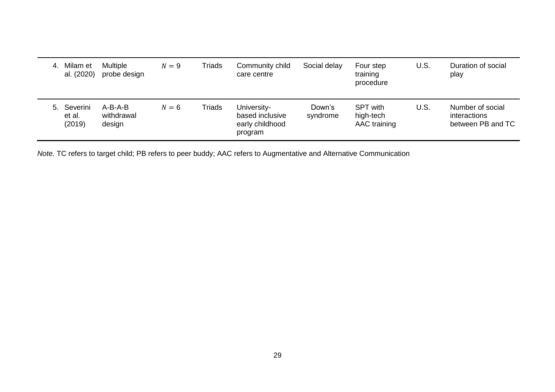| 4. | Milam et<br>al. (2020)          | <b>Multiple</b><br>probe design | $N=9$ | Triads | Community child<br>care centre                               | Social delay       | Four step<br>training<br>procedure           | U.S. | Duration of social<br>play                            |
|----|---------------------------------|---------------------------------|-------|--------|--------------------------------------------------------------|--------------------|----------------------------------------------|------|-------------------------------------------------------|
|    | 5. Severini<br>et al.<br>(2019) | A-B-A-B<br>withdrawal<br>design | $N=6$ | Triads | University-<br>based inclusive<br>early childhood<br>program | Down's<br>syndrome | <b>SPT with</b><br>high-tech<br>AAC training | U.S. | Number of social<br>interactions<br>between PB and TC |

*Note.* TC refers to target child; PB refers to peer buddy; AAC refers to Augmentative and Alternative Communication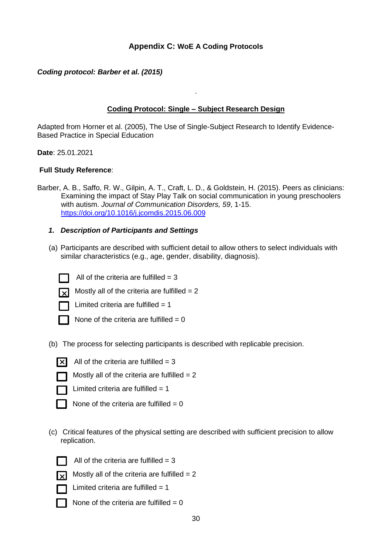# **Appendix C: WoE A Coding Protocols**

## *Coding protocol: Barber et al. (2015)*

## **Coding Protocol: Single – Subject Research Design**

.

Adapted from Horner et al. (2005), The Use of Single-Subject Research to Identify Evidence-Based Practice in Special Education

**Date**: 25.01.2021

### **Full Study Reference**:

- Barber, A. B., Saffo, R. W., Gilpin, A. T., Craft, L. D., & Goldstein, H. (2015). Peers as clinicians: Examining the impact of Stay Play Talk on social communication in young preschoolers with autism. *Journal of Communication Disorders, 59*, 1-15. <https://doi.org/10.1016/j.jcomdis.2015.06.009>
	- *1. Description of Participants and Settings*
	- (a) Participants are described with sufficient detail to allow others to select individuals with similar characteristics (e.g., age, gender, disability, diagnosis).



All of the criteria are fulfilled  $= 3$ 



Mostly all of the criteria are fulfilled  $= 2$ 



Limited criteria are fulfilled  $= 1$ 

- None of the criteria are fulfilled  $= 0$
- (b) The process for selecting participants is described with replicable precision.



 $\overline{X}$  All of the criteria are fulfilled = 3



Mostly all of the criteria are fulfilled  $= 2$ 



Limited criteria are fulfilled  $= 1$ 



None of the criteria are fulfilled =  $0$ 

(c) Critical features of the physical setting are described with sufficient precision to allow replication.



All of the criteria are fulfilled  $= 3$ 



Mostly all of the criteria are fulfilled  $= 2$ 

Limited criteria are fulfilled  $= 1$ 

None of the criteria are fulfilled  $= 0$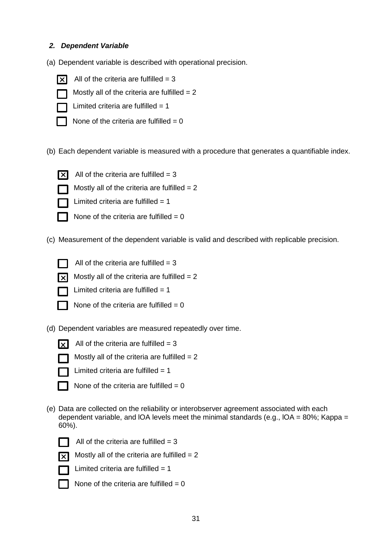## *2. Dependent Variable*

- (a) Dependent variable is described with operational precision.
	- $\overline{\mathsf{x}}$
- All of the criteria are fulfilled  $= 3$

Mostly all of the criteria are fulfilled  $= 2$ 

- 
- Limited criteria are fulfilled  $= 1$
- 
- 
- None of the criteria are fulfilled  $= 0$
- (b) Each dependent variable is measured with a procedure that generates a quantifiable index.



- All of the criteria are fulfilled  $= 3$
- 
- Limited criteria are fulfilled  $= 1$



None of the criteria are fulfilled  $= 0$ 

Mostly all of the criteria are fulfilled  $= 2$ 

(c) Measurement of the dependent variable is valid and described with replicable precision.



- All of the criteria are fulfilled  $= 3$
- Mostly all of the criteria are fulfilled  $= 2$



Limited criteria are fulfilled  $= 1$ 



- None of the criteria are fulfilled  $= 0$
- (d) Dependent variables are measured repeatedly over time.



All of the criteria are fulfilled  $= 3$ 



Mostly all of the criteria are fulfilled  $= 2$ 



Limited criteria are fulfilled  $= 1$ 



(e) Data are collected on the reliability or interobserver agreement associated with each dependent variable, and IOA levels meet the minimal standards (e.g., IOA =  $80\%$ ; Kappa = 60%).





All of the criteria are fulfilled  $= 3$ 





Mostly all of the criteria are fulfilled  $= 2$ 



- Limited criteria are fulfilled  $= 1$
- None of the criteria are fulfilled  $= 0$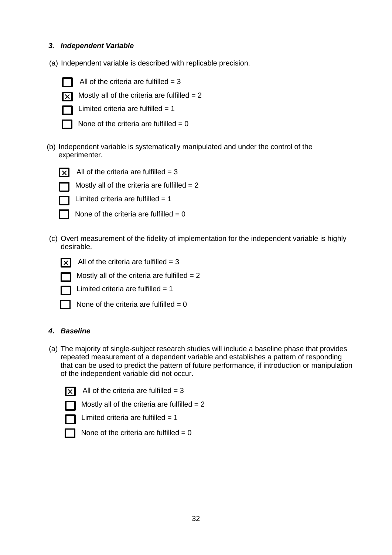## *3. Independent Variable*

(a) Independent variable is described with replicable precision.



K

All of the criteria are fulfilled  $= 3$ 

Mostly all of the criteria are fulfilled  $= 2$ 



Limited criteria are fulfilled  $= 1$ 

None of the criteria are fulfilled  $= 0$ 

(b) Independent variable is systematically manipulated and under the control of the experimenter.



All of the criteria are fulfilled  $= 3$ 



Limited criteria are fulfilled  $= 1$ 



None of the criteria are fulfilled  $= 0$ 

Mostly all of the criteria are fulfilled  $= 2$ 

(c) Overt measurement of the fidelity of implementation for the independent variable is highly desirable.



 $\overline{X}$  All of the criteria are fulfilled = 3

Mostly all of the criteria are fulfilled  $= 2$ 



Limited criteria are fulfilled  $= 1$ 

| None of the criteria are fulfilled $= 0$ |  |  |  |  |  |  |  |  |
|------------------------------------------|--|--|--|--|--|--|--|--|
|------------------------------------------|--|--|--|--|--|--|--|--|

## *4. Baseline*

(a) The majority of single-subject research studies will include a baseline phase that provides repeated measurement of a dependent variable and establishes a pattern of responding that can be used to predict the pattern of future performance, if introduction or manipulation of the independent variable did not occur.

All of the criteria are fulfilled  $= 3$ 

Mostly all of the criteria are fulfilled  $= 2$ 

| Limited criteria are fulfilled $= 1$ |  |
|--------------------------------------|--|
|--------------------------------------|--|

None of the criteria are fulfilled  $= 0$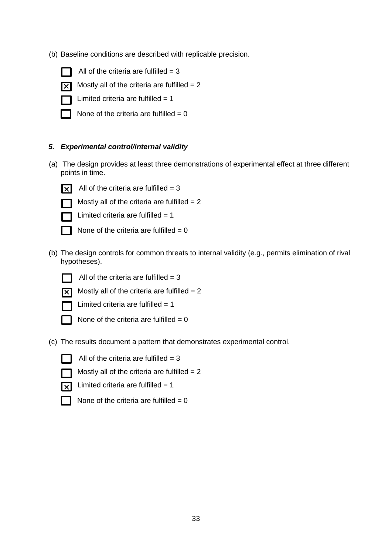(b) Baseline conditions are described with replicable precision.



All of the criteria are fulfilled  $= 3$ 



Mostly all of the criteria are fulfilled  $= 2$ 

Limited criteria are fulfilled  $= 1$ 

None of the criteria are fulfilled  $= 0$ 

## *5. Experimental control/internal validity*

(a) The design provides at least three demonstrations of experimental effect at three different points in time.



All of the criteria are fulfilled  $= 3$ 

Mostly all of the criteria are fulfilled  $= 2$ 



Limited criteria are fulfilled  $= 1$ 

None of the criteria are fulfilled  $= 0$ 

(b) The design controls for common threats to internal validity (e.g., permits elimination of rival hypotheses).

All of the criteria are fulfilled  $= 3$ 



Mostly all of the criteria are fulfilled  $= 2$ 



Limited criteria are fulfilled  $= 1$ 



None of the criteria are fulfilled  $= 0$ 

(c) The results document a pattern that demonstrates experimental control.



All of the criteria are fulfilled  $= 3$ 



Mostly all of the criteria are fulfilled  $= 2$ 



 $\overline{\mathbf{x}}$  Limited criteria are fulfilled = 1

None of the criteria are fulfilled  $= 0$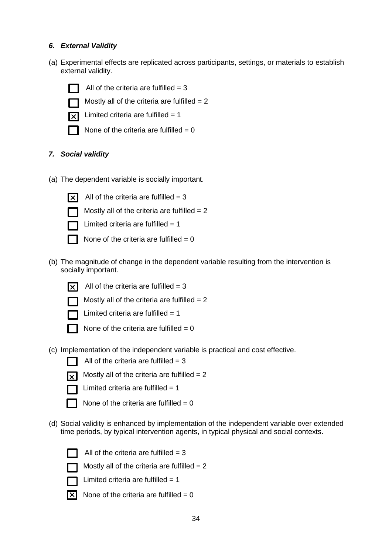## *6. External Validity*

(a) Experimental effects are replicated across participants, settings, or materials to establish external validity.



All of the criteria are fulfilled  $= 3$ 

Mostly all of the criteria are fulfilled  $= 2$ 



Limited criteria are fulfilled  $= 1$ 



None of the criteria are fulfilled  $= 0$ 

# *7. Social validity*

(a) The dependent variable is socially important.



All of the criteria are fulfilled  $= 3$ 



Mostly all of the criteria are fulfilled  $= 2$ Limited criteria are fulfilled  $= 1$ 

None of the criteria are fulfilled  $= 0$ 

(b) The magnitude of change in the dependent variable resulting from the intervention is socially important.



All of the criteria are fulfilled  $= 3$ 

Mostly all of the criteria are fulfilled  $= 2$ 



Limited criteria are fulfilled  $= 1$ 

None of the criteria are fulfilled  $= 0$ 

(c) Implementation of the independent variable is practical and cost effective.





Mostly all of the criteria are fulfilled  $= 2$ 

Limited criteria are fulfilled  $= 1$ 



None of the criteria are fulfilled  $= 0$ 

(d) Social validity is enhanced by implementation of the independent variable over extended time periods, by typical intervention agents, in typical physical and social contexts.



All of the criteria are fulfilled  $= 3$ 



Mostly all of the criteria are fulfilled  $= 2$ 

Limited criteria are fulfilled  $= 1$ 

 $\overline{X}$  None of the criteria are fulfilled = 0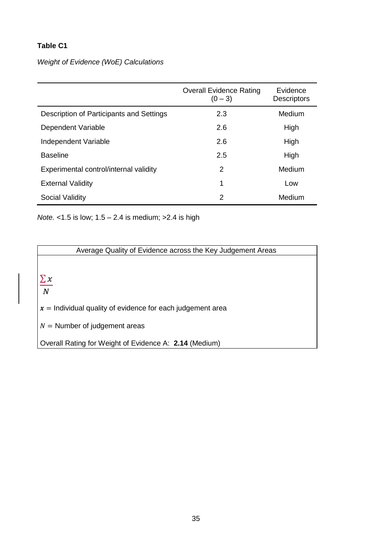## **Table C1**

# *Weight of Evidence (WoE) Calculations*

|                                          | <b>Overall Evidence Rating</b><br>$(0 - 3)$ | Evidence<br><b>Descriptors</b> |
|------------------------------------------|---------------------------------------------|--------------------------------|
| Description of Participants and Settings | 2.3                                         | Medium                         |
| Dependent Variable                       | 2.6                                         | High                           |
| Independent Variable                     | 2.6                                         | High                           |
| <b>Baseline</b>                          | 2.5                                         | High                           |
| Experimental control/internal validity   | 2                                           | Medium                         |
| <b>External Validity</b>                 | 1                                           | Low                            |
| Social Validity                          | 2                                           | Medium                         |

*Note.* <1.5 is low; 1.5 – 2.4 is medium; >2.4 is high

Average Quality of Evidence across the Key Judgement Areas

 $\sum x$ 

 $\overline{N}$ 

 $x =$  Individual quality of evidence for each judgement area

 $N =$  Number of judgement areas

Overall Rating for Weight of Evidence A: **2.14** (Medium)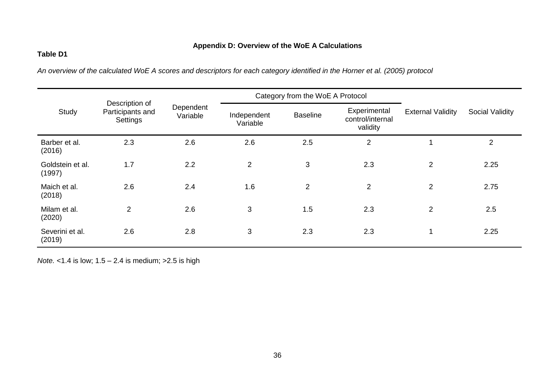# **Appendix D: Overview of the WoE A Calculations**

## **Table D1**

*An overview of the calculated WoE A scores and descriptors for each category identified in the Horner et al. (2005) protocol* 

|                            | Description of               |                       |                         | Category from the WoE A Protocol |                                              |                          |                 |
|----------------------------|------------------------------|-----------------------|-------------------------|----------------------------------|----------------------------------------------|--------------------------|-----------------|
| Study                      | Participants and<br>Settings | Dependent<br>Variable | Independent<br>Variable | <b>Baseline</b>                  | Experimental<br>control/internal<br>validity | <b>External Validity</b> | Social Validity |
| Barber et al.<br>(2016)    | 2.3                          | 2.6                   | 2.6                     | 2.5                              | $\overline{2}$                               |                          | $\overline{2}$  |
| Goldstein et al.<br>(1997) | 1.7                          | 2.2                   | $\overline{2}$          | 3                                | 2.3                                          | $\overline{2}$           | 2.25            |
| Maich et al.<br>(2018)     | 2.6                          | 2.4                   | 1.6                     | $\overline{2}$                   | 2                                            | $\overline{2}$           | 2.75            |
| Milam et al.<br>(2020)     | $\overline{2}$               | 2.6                   | 3                       | 1.5                              | 2.3                                          | $\overline{2}$           | 2.5             |
| Severini et al.<br>(2019)  | 2.6                          | 2.8                   | 3                       | 2.3                              | 2.3                                          |                          | 2.25            |

*Note.* <1.4 is low; 1.5 – 2.4 is medium; > 2.5 is high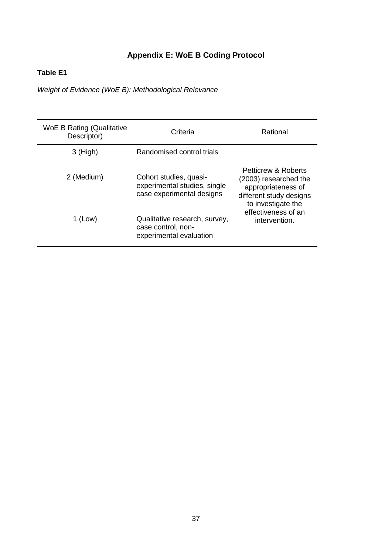# **Appendix E: WoE B Coding Protocol**

# **Table E1**

*Weight of Evidence (WoE B): Methodological Relevance* 

| <b>WoE B Rating (Qualitative</b><br>Descriptor) | Criteria                                                                            | Rational                                                                                                            |
|-------------------------------------------------|-------------------------------------------------------------------------------------|---------------------------------------------------------------------------------------------------------------------|
| $3$ (High)                                      | Randomised control trials                                                           |                                                                                                                     |
| 2 (Medium)                                      | Cohort studies, quasi-<br>experimental studies, single<br>case experimental designs | Petticrew & Roberts<br>(2003) researched the<br>appropriateness of<br>different study designs<br>to investigate the |
| 1 (Low)                                         | Qualitative research, survey,<br>case control, non-<br>experimental evaluation      | effectiveness of an<br>intervention.                                                                                |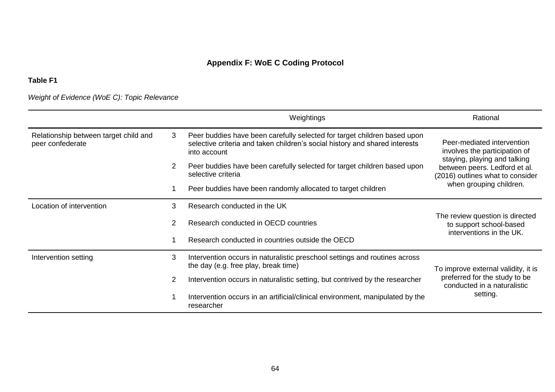# **Appendix F: WoE C Coding Protocol**

# **Table F1**

*Weight of Evidence (WoE C): Topic Relevance* 

|                                                                                                                                                                                                                                           |                                                                                                                  | Weightings                                                                                                         | Rational                                                                               |
|-------------------------------------------------------------------------------------------------------------------------------------------------------------------------------------------------------------------------------------------|------------------------------------------------------------------------------------------------------------------|--------------------------------------------------------------------------------------------------------------------|----------------------------------------------------------------------------------------|
| Relationship between target child and<br>3<br>Peer buddies have been carefully selected for target children based upon<br>selective criteria and taken children's social history and shared interests<br>peer confederate<br>into account |                                                                                                                  | Peer-mediated intervention<br>involves the participation of<br>staying, playing and talking                        |                                                                                        |
|                                                                                                                                                                                                                                           | $\overline{2}$<br>Peer buddies have been carefully selected for target children based upon<br>selective criteria |                                                                                                                    | between peers. Ledford et al.<br>(2016) outlines what to consider                      |
|                                                                                                                                                                                                                                           |                                                                                                                  | Peer buddies have been randomly allocated to target children                                                       | when grouping children.                                                                |
| Location of intervention                                                                                                                                                                                                                  | 3<br>Research conducted in the UK<br>Research conducted in OECD countries                                        |                                                                                                                    |                                                                                        |
|                                                                                                                                                                                                                                           |                                                                                                                  |                                                                                                                    | The review question is directed<br>to support school-based<br>interventions in the UK. |
|                                                                                                                                                                                                                                           |                                                                                                                  | Research conducted in countries outside the OECD                                                                   |                                                                                        |
| Intervention setting                                                                                                                                                                                                                      |                                                                                                                  | Intervention occurs in naturalistic preschool settings and routines across<br>the day (e.g. free play, break time) | To improve external validity, it is                                                    |
|                                                                                                                                                                                                                                           |                                                                                                                  | Intervention occurs in naturalistic setting, but contrived by the researcher                                       | preferred for the study to be<br>conducted in a naturalistic                           |
|                                                                                                                                                                                                                                           |                                                                                                                  | Intervention occurs in an artificial/clinical environment, manipulated by the<br>researcher                        | setting.                                                                               |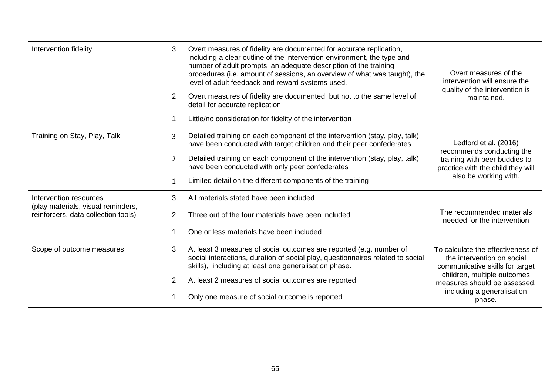| Intervention fidelity                                        | 3<br>$\overline{2}$ | Overt measures of fidelity are documented for accurate replication,<br>including a clear outline of the intervention environment, the type and<br>number of adult prompts, an adequate description of the training<br>procedures (i.e. amount of sessions, an overview of what was taught), the<br>level of adult feedback and reward systems used.<br>Overt measures of fidelity are documented, but not to the same level of<br>detail for accurate replication.<br>Little/no consideration for fidelity of the intervention | Overt measures of the<br>intervention will ensure the<br>quality of the intervention is<br>maintained. |  |
|--------------------------------------------------------------|---------------------|--------------------------------------------------------------------------------------------------------------------------------------------------------------------------------------------------------------------------------------------------------------------------------------------------------------------------------------------------------------------------------------------------------------------------------------------------------------------------------------------------------------------------------|--------------------------------------------------------------------------------------------------------|--|
| Training on Stay, Play, Talk                                 | 3                   | Detailed training on each component of the intervention (stay, play, talk)<br>have been conducted with target children and their peer confederates                                                                                                                                                                                                                                                                                                                                                                             | Ledford et al. (2016)<br>recommends conducting the                                                     |  |
|                                                              | $\overline{2}$      | Detailed training on each component of the intervention (stay, play, talk)<br>have been conducted with only peer confederates                                                                                                                                                                                                                                                                                                                                                                                                  | training with peer buddies to<br>practice with the child they will                                     |  |
|                                                              | 1                   | Limited detail on the different components of the training                                                                                                                                                                                                                                                                                                                                                                                                                                                                     | also be working with.                                                                                  |  |
| Intervention resources<br>(play materials, visual reminders, | 3                   | All materials stated have been included                                                                                                                                                                                                                                                                                                                                                                                                                                                                                        |                                                                                                        |  |
| reinforcers, data collection tools)                          | $\overline{2}$      | Three out of the four materials have been included                                                                                                                                                                                                                                                                                                                                                                                                                                                                             | The recommended materials<br>needed for the intervention                                               |  |
|                                                              |                     | One or less materials have been included                                                                                                                                                                                                                                                                                                                                                                                                                                                                                       |                                                                                                        |  |
| Scope of outcome measures                                    | 3                   | At least 3 measures of social outcomes are reported (e.g. number of<br>social interactions, duration of social play, questionnaires related to social<br>skills), including at least one generalisation phase.                                                                                                                                                                                                                                                                                                                 | To calculate the effectiveness of<br>the intervention on social<br>communicative skills for target     |  |
|                                                              | 2                   | At least 2 measures of social outcomes are reported                                                                                                                                                                                                                                                                                                                                                                                                                                                                            | children, multiple outcomes<br>measures should be assessed,                                            |  |
|                                                              |                     | Only one measure of social outcome is reported                                                                                                                                                                                                                                                                                                                                                                                                                                                                                 | including a generalisation<br>phase.                                                                   |  |